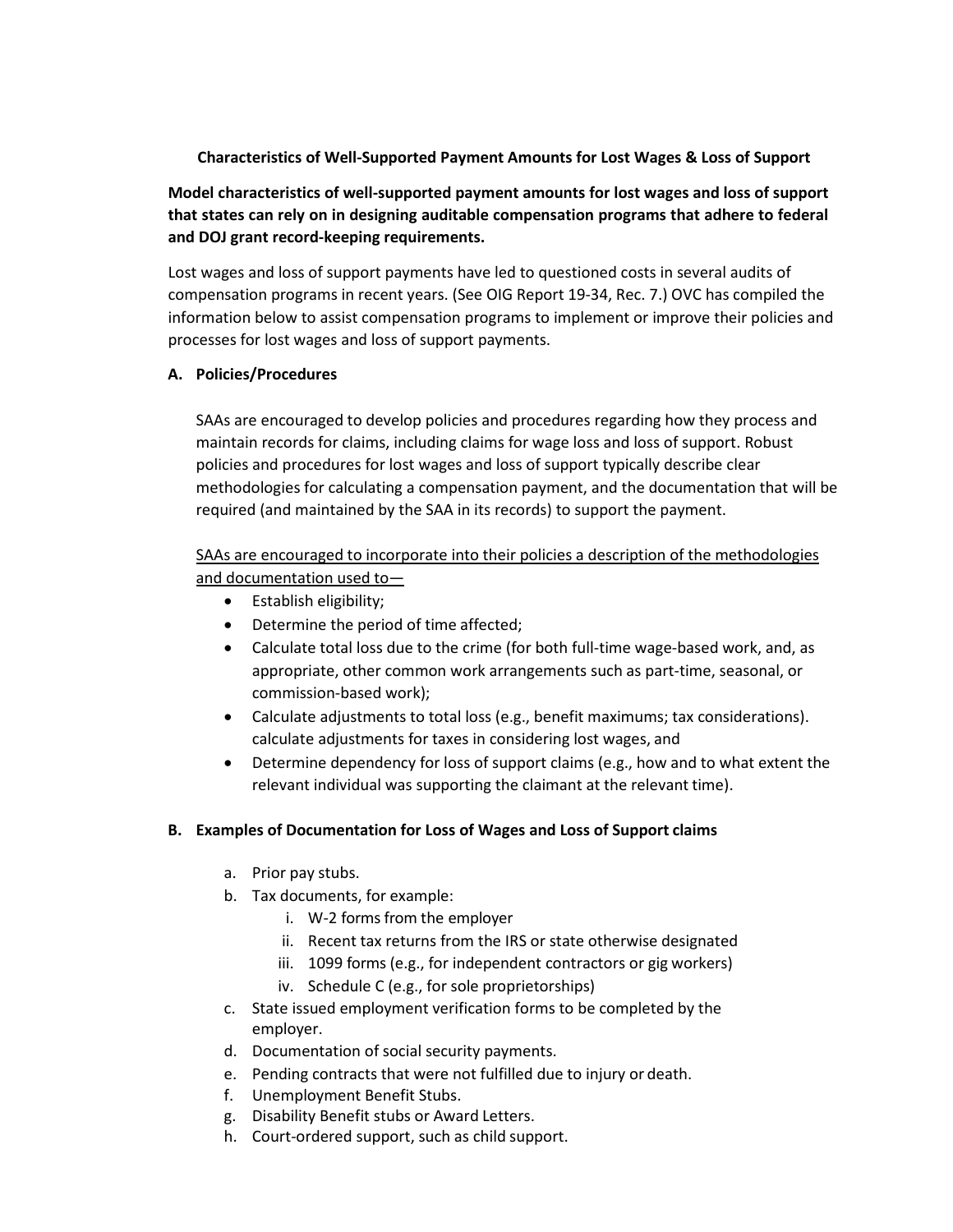## **Characteristics of Well-Supported Payment Amounts for Lost Wages & Loss of Support**

**Model characteristics of well-supported payment amounts for lost wages and loss of support that states can rely on in designing auditable compensation programs that adhere to federal and DOJ grant record-keeping requirements.**

Lost wages and loss of support payments have led to questioned costs in several audits of compensation programs in recent years. (See OIG Report 19-34, Rec. 7.) OVC has compiled the information below to assist compensation programs to implement or improve their policies and processes for lost wages and loss of support payments.

## **A. Policies/Procedures**

SAAs are encouraged to develop policies and procedures regarding how they process and maintain records for claims, including claims for wage loss and loss of support. Robust policies and procedures for lost wages and loss of support typically describe clear methodologies for calculating a compensation payment, and the documentation that will be required (and maintained by the SAA in its records) to support the payment.

SAAs are encouraged to incorporate into their policies a description of the methodologies and documentation used to—

- Establish eligibility;
- Determine the period of time affected;
- Calculate total loss due to the crime (for both full-time wage-based work, and, as appropriate, other common work arrangements such as part-time, seasonal, or commission-based work);
- Calculate adjustments to total loss (e.g., benefit maximums; tax considerations). calculate adjustments for taxes in considering lost wages, and
- Determine dependency for loss of support claims (e.g., how and to what extent the relevant individual was supporting the claimant at the relevant time).

## **B. Examples of Documentation for Loss of Wages and Loss of Support claims**

- a. Prior pay stubs.
- b. Tax documents, for example:
	- i. W-2 forms from the employer
	- ii. Recent tax returns from the IRS or state otherwise designated
	- iii. 1099 forms (e.g., for independent contractors or gig workers)
	- iv. Schedule C (e.g., for sole proprietorships)
- c. State issued employment verification forms to be completed by the employer.
- d. Documentation of social security payments.
- e. Pending contracts that were not fulfilled due to injury or death.
- f. Unemployment Benefit Stubs.
- g. Disability Benefit stubs or Award Letters.
- h. Court-ordered support, such as child support.